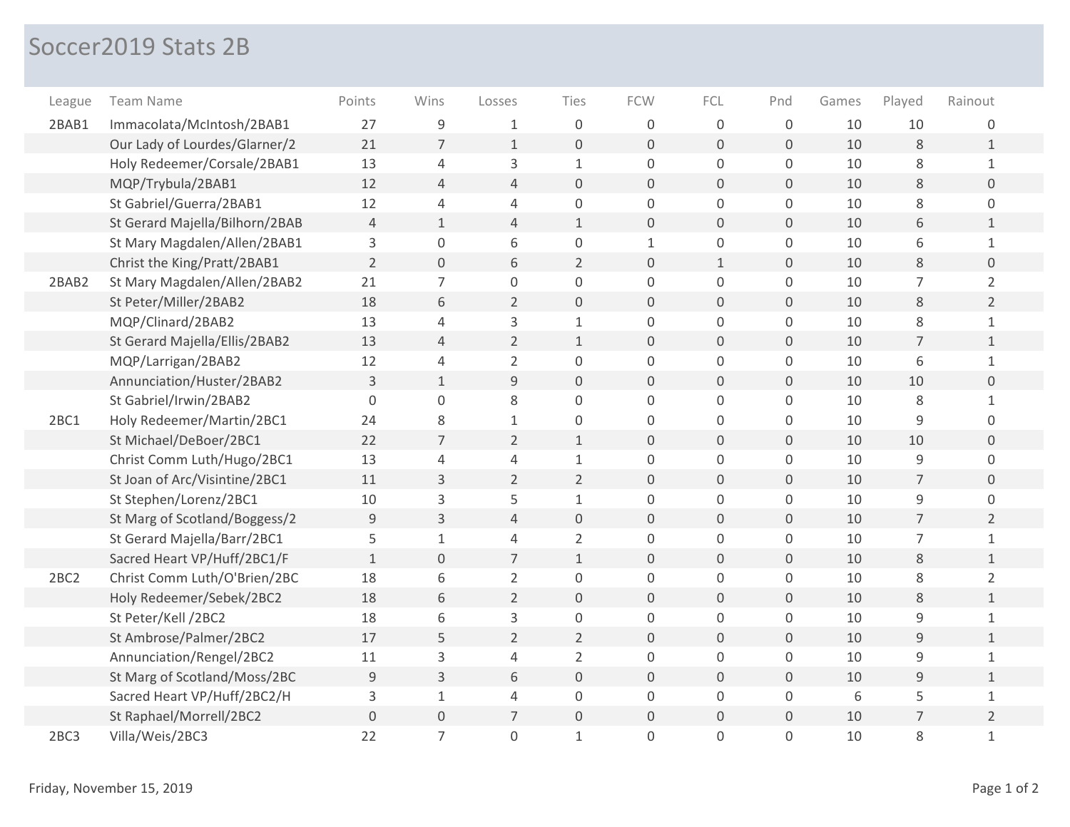## Soccer2019 Stats 2B

| League | <b>Team Name</b>               | Points         | Wins                | Losses         | Ties                | <b>FCW</b>          | FCL                 | Pnd              | Games | Played         | Rainout        |
|--------|--------------------------------|----------------|---------------------|----------------|---------------------|---------------------|---------------------|------------------|-------|----------------|----------------|
| 2BAB1  | Immacolata/McIntosh/2BAB1      | 27             | 9                   | 1              | 0                   | $\mathbf 0$         | 0                   | $\mathbf 0$      | 10    | 10             | 0              |
|        | Our Lady of Lourdes/Glarner/2  | 21             | $\overline{7}$      | $\mathbf{1}$   | $\mathbf 0$         | $\mathbf 0$         | $\mathbf 0$         | 0                | 10    | 8              | $\mathbf{1}$   |
|        | Holy Redeemer/Corsale/2BAB1    | 13             | $\overline{4}$      | 3              | $\mathbf 1$         | $\mathsf{O}\xspace$ | 0                   | 0                | 10    | $\,8\,$        | $\mathbf{1}$   |
|        | MQP/Trybula/2BAB1              | 12             | $\overline{4}$      | $\overline{4}$ | $\mathbf 0$         | $\mathbf 0$         | $\overline{0}$      | $\mathbf{0}$     | 10    | 8              | $\overline{0}$ |
|        | St Gabriel/Guerra/2BAB1        | 12             | $\overline{4}$      | $\overline{4}$ | $\mathsf{O}\xspace$ | $\mathbf 0$         | 0                   | 0                | 10    | 8              | 0              |
|        | St Gerard Majella/Bilhorn/2BAB | $\overline{4}$ | $\mathbf{1}$        | $\overline{4}$ | $\mathbf{1}$        | $\mathbf 0$         | $\mathbf 0$         | 0                | 10    | 6              | $\mathbf{1}$   |
|        | St Mary Magdalen/Allen/2BAB1   | 3              | $\mathsf{O}\xspace$ | 6              | $\mathsf{O}\xspace$ | $\mathbf{1}$        | 0                   | 0                | 10    | 6              | $\mathbf{1}$   |
|        | Christ the King/Pratt/2BAB1    | $\overline{2}$ | $\mathsf{O}\xspace$ | 6              | $\overline{2}$      | $\mathbf 0$         | $\mathbf{1}$        | $\mathbf{0}$     | 10    | 8              | $\overline{0}$ |
| 2BAB2  | St Mary Magdalen/Allen/2BAB2   | 21             | $\overline{7}$      | $\mathbf 0$    | $\mathsf{O}\xspace$ | $\mathbf 0$         | 0                   | 0                | 10    | $\overline{7}$ | $\overline{2}$ |
|        | St Peter/Miller/2BAB2          | 18             | 6                   | $\overline{2}$ | $\mathbf 0$         | $\mathbf 0$         | $\mathbf 0$         | 0                | 10    | $\,8\,$        | $\overline{2}$ |
|        | MQP/Clinard/2BAB2              | 13             | $\overline{4}$      | 3              | $\mathbf{1}$        | $\mathsf{O}\xspace$ | 0                   | 0                | 10    | $\,8\,$        | $\mathbf{1}$   |
|        | St Gerard Majella/Ellis/2BAB2  | 13             | $\overline{4}$      | $\overline{2}$ | $\mathbf 1$         | $\mathbf 0$         | $\overline{0}$      | $\overline{0}$   | 10    | $\overline{7}$ | $\mathbf{1}$   |
|        | MQP/Larrigan/2BAB2             | 12             | $\overline{4}$      | $\overline{2}$ | $\mathsf{O}\xspace$ | $\mathbf 0$         | 0                   | 0                | 10    | 6              | $\mathbf{1}$   |
|        | Annunciation/Huster/2BAB2      | 3              | $\mathbf{1}$        | 9              | $\mathbf 0$         | $\mathbf 0$         | $\mathbf 0$         | 0                | 10    | 10             | $\mathbf 0$    |
|        | St Gabriel/Irwin/2BAB2         | $\overline{0}$ | $\mathbf 0$         | 8              | $\mathsf{O}$        | $\mathsf 0$         | $\overline{0}$      | 0                | 10    | 8              | $\mathbf{1}$   |
| 2BC1   | Holy Redeemer/Martin/2BC1      | 24             | 8                   | $\mathbf{1}$   | $\mathbf 0$         | $\overline{0}$      | 0                   | 0                | 10    | 9              | $\mathbf 0$    |
|        | St Michael/DeBoer/2BC1         | 22             | $\overline{7}$      | $\overline{2}$ | $\mathbf 1$         | $\mathbf 0$         | $\overline{0}$      | 0                | 10    | 10             | $\overline{0}$ |
|        | Christ Comm Luth/Hugo/2BC1     | 13             | $\overline{4}$      | $\overline{4}$ | $\mathbf 1$         | $\mathbf 0$         | 0                   | 0                | 10    | 9              | 0              |
|        | St Joan of Arc/Visintine/2BC1  | 11             | $\mathsf{3}$        | $\overline{2}$ | $\overline{2}$      | $\mathbf 0$         | $\overline{0}$      | $\overline{0}$   | 10    | $\overline{7}$ | $\overline{0}$ |
|        | St Stephen/Lorenz/2BC1         | 10             | $\mathsf{3}$        | 5              | $\mathbf 1$         | $\mathbf 0$         | $\mathsf{O}\xspace$ | 0                | 10    | $\mathsf 9$    | $\mathbf 0$    |
|        | St Marg of Scotland/Boggess/2  | 9              | 3                   | $\overline{4}$ | $\mathsf{O}\xspace$ | $\mathbf 0$         | $\mathsf{O}$        | $\overline{0}$   | 10    | $\overline{7}$ | $\overline{2}$ |
|        | St Gerard Majella/Barr/2BC1    | 5              | $\mathbf{1}$        | $\overline{4}$ | $\overline{2}$      | $\mathbf 0$         | 0                   | 0                | 10    | $\overline{7}$ | $\mathbf{1}$   |
|        | Sacred Heart VP/Huff/2BC1/F    | $\mathbf{1}$   | $\overline{0}$      | $\overline{7}$ | $\mathbf{1}$        | $\mathbf 0$         | $\overline{0}$      | $\overline{0}$   | 10    | 8              | $\mathbf{1}$   |
| 2BC2   | Christ Comm Luth/O'Brien/2BC   | 18             | 6                   | $\overline{2}$ | $\mathsf{O}\xspace$ | $\mathbf 0$         | 0                   | 0                | 10    | $\,8\,$        | $\overline{2}$ |
|        | Holy Redeemer/Sebek/2BC2       | 18             | 6                   | $\overline{2}$ | $\mathsf{O}\xspace$ | $\mathsf{O}\xspace$ | $\overline{0}$      | $\mathbf 0$      | 10    | $\,8\,$        | $\mathbf{1}$   |
|        | St Peter/Kell /2BC2            | 18             | 6                   | 3              | $\mathsf{O}\xspace$ | $\mathbf 0$         | 0                   | 0                | 10    | 9              | $\mathbf{1}$   |
|        | St Ambrose/Palmer/2BC2         | 17             | 5                   | $\overline{2}$ | $\overline{2}$      | $\mathbf 0$         | $\overline{0}$      | $\overline{0}$   | 10    | $\overline{9}$ | $\mathbf{1}$   |
|        | Annunciation/Rengel/2BC2       | 11             | $\mathsf{3}$        | $\overline{4}$ | $\overline{2}$      | $\mathbf 0$         | 0                   | 0                | 10    | $\mathsf 9$    | $\mathbf{1}$   |
|        | St Marg of Scotland/Moss/2BC   | 9              | 3                   | 6              | $\mathsf{O}\xspace$ | $\mathbf 0$         | $\mathsf{O}$        | $\mathbf 0$      | 10    | $\mathsf 9$    | $\mathbf{1}$   |
|        | Sacred Heart VP/Huff/2BC2/H    | 3              | $\mathbf{1}$        | $\overline{4}$ | $\mathsf{O}\xspace$ | $\mathbf 0$         | 0                   | $\boldsymbol{0}$ | 6     | 5              | $\mathbf{1}$   |
|        | St Raphael/Morrell/2BC2        | $\mathbf 0$    | $\mathsf{O}\xspace$ | $\overline{7}$ | $\mathsf{O}\xspace$ | $\overline{0}$      | $\overline{0}$      | $\mathbf 0$      | 10    | $\overline{7}$ | $\overline{2}$ |
| 2BC3   | Villa/Weis/2BC3                | 22             | $\overline{7}$      | $\overline{0}$ | $\mathbf{1}$        | $\mathbf 0$         | $\mathbf 0$         | 0                | 10    | $\,8\,$        | $\mathbf{1}$   |